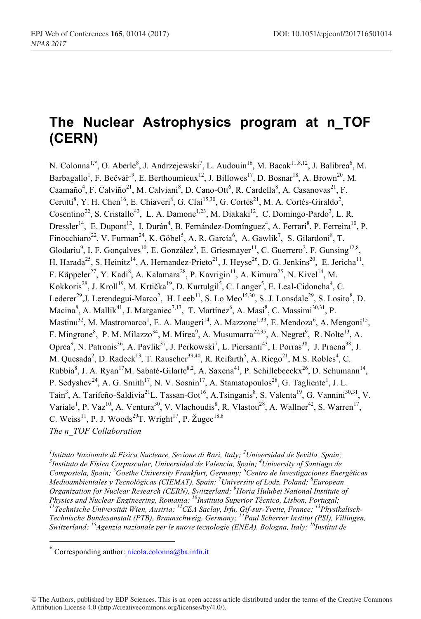# **The Nuclear Astrophysics program at n\_TOF (CERN)**

N. Colonna<sup>1,\*</sup>, O. Aberle<sup>8</sup>, J. Andrzejewski<sup>7</sup>, L. Audouin<sup>16</sup>, M. Bacak<sup>11,8,12</sup>, J. Balibrea<sup>6</sup>, M. Barbagallo<sup>1</sup>, F. Bečvář<sup>19</sup>, E. Berthoumieux<sup>12</sup>, J. Billowes<sup>17</sup>, D. Bosnar<sup>18</sup>, A. Brown<sup>20</sup>, M. Caamaño<sup>4</sup>, F. Calviño<sup>21</sup>, M. Calviani<sup>8</sup>, D. Cano-Ott<sup>6</sup>, R. Cardella<sup>8</sup>, A. Casanovas<sup>21</sup>, F. Cerutti<sup>8</sup>, Y. H. Chen<sup>16</sup>, E. Chiaveri<sup>8</sup>, G. Clai<sup>15,30</sup>, G. Cortés<sup>21</sup>, M. A. Cortés-Giraldo<sup>2</sup>, Cosentino<sup>22</sup>, S. Cristallo<sup>43</sup>, L. A. Damone<sup>1,23</sup>, M. Diakaki<sup>12</sup>, C. Domingo-Pardo<sup>3</sup>, L. R. Dressler<sup>14</sup>, E. Dupont<sup>12</sup>, I. Durán<sup>4</sup>, B. Fernández-Domínguez<sup>4</sup>, A. Ferrari<sup>8</sup>, P. Ferreira<sup>10</sup>, P. Finocchiaro<sup>22</sup>, V. Furman<sup>24</sup>, K. Göbel<sup>5</sup>, A. R. García<sup>6</sup>, A. Gawlik<sup>7</sup>, S. Gilardoni<sup>8</sup>, T. Glodariu<sup>9</sup>, I. F. Gonçalves<sup>10</sup>, E. González<sup>6</sup>, E. Griesmayer<sup>11</sup>, C. Guerrero<sup>2</sup>, F. Gunsing<sup>12,8</sup>, H. Harada<sup>25</sup>, S. Heinitz<sup>14</sup>, A. Hernandez-Prieto<sup>21</sup>, J. Heyse<sup>26</sup>, D. G. Jenkins<sup>20</sup>, E. Jericha<sup>11</sup>, F. Käppeler<sup>27</sup>, Y. Kadi<sup>8</sup>, A. Kalamara<sup>28</sup>, P. Kavrigin<sup>11</sup>, A. Kimura<sup>25</sup>, N. Kivel<sup>14</sup>, M. Kokkoris<sup>28</sup>, J. Kroll<sup>19</sup>, M. Krtička<sup>19</sup>, D. Kurtulgil<sup>5</sup>, C. Langer<sup>5</sup>, E. Leal-Cidoncha<sup>4</sup>, C. Lederer<sup>29</sup>, J. Lerendegui-Marco<sup>2</sup>, H. Leeb<sup>11</sup>, S. Lo Meo<sup>15,30</sup>, S. J. Lonsdale<sup>29</sup>, S. Losito<sup>8</sup>, D. Macina<sup>8</sup>, A. Mallik<sup>41</sup>, J. Marganiec<sup>7,13</sup>, T. Martínez<sup>6</sup>, A. Masi<sup>8</sup>, C. Massimi<sup>30,31</sup>, P. Mastinu<sup>32</sup>, M. Mastromarco<sup>1</sup>, E. A. Maugeri<sup>14</sup>, A. Mazzone<sup>1,33</sup>, E. Mendoza<sup>6</sup>, A. Mengoni<sup>15</sup>, F. Mingrone<sup>8</sup>, P. M. Milazzo<sup>34</sup>, M. Mirea<sup>9</sup>, A. Musumarra<sup>22,35</sup>, A. Negret<sup>9</sup>, R. Nolte<sup>13</sup>, A. Oprea<sup>9</sup>, N. Patronis<sup>36</sup>, A. Pavlik<sup>37</sup>, J. Perkowski<sup>7</sup>, L. Piersanti<sup>43</sup>, I. Porras<sup>38</sup>, J. Praena<sup>38</sup>, J. M. Quesada<sup>2</sup>, D. Radeck<sup>13</sup>, T. Rauscher<sup>39,40</sup>, R. Reifarth<sup>5</sup>, A. Riego<sup>21</sup>, M.S. Robles<sup>4</sup>, C. Rubbia<sup>8</sup>, J. A. Ryan<sup>17</sup>M. Sabaté-Gilarte<sup>8,2</sup>, A. Saxena<sup>41</sup>, P. Schillebeeckx<sup>26</sup>, D. Schumann<sup>14</sup>, P. Sedyshev<sup>24</sup>, A. G. Smith<sup>17</sup>, N. V. Sosnin<sup>17</sup>, A. Stamatopoulos<sup>28</sup>, G. Tagliente<sup>1</sup>, J. L. Tain<sup>3</sup>, A. Tarifeño-Saldivia<sup>21</sup>L. Tassan-Got<sup>16</sup>, A.Tsinganis<sup>8</sup>, S. Valenta<sup>19</sup>, G. Vannini<sup>30,31</sup>, V. Variale<sup>1</sup>, P. Vaz<sup>10</sup>, A. Ventura<sup>30</sup>, V. Vlachoudis<sup>8</sup>, R. Vlastou<sup>28</sup>, A. Wallner<sup>42</sup>, S. Warren<sup>17</sup>, C. Weiss<sup>11</sup>, P. J. Woods<sup>29</sup>T. Wright<sup>17</sup>, P. Žugec<sup>18,8</sup> *The n\_TOF Collaboration* 

*1 Istituto Nazionale di Fisica Nucleare, Sezione di Bari, Italy; <sup>2</sup> Universidad de Sevilla, Spain; <sup>3</sup> Instituto de Física Corpuscular, Universidad de Valencia, Spain; <sup>4</sup> University of Santiago de Compostela, Spain; <sup>5</sup> Goethe University Frankfurt, Germany; <sup>6</sup> Centro de Investigaciones Energéticas Medioambientales y Tecnológicas (CIEMAT), Spain; <sup>7</sup> University of Lodz, Poland; <sup>8</sup> European Organization for Nuclear Research (CERN), Switzerland; <sup>9</sup> Horia Hulubei National Institute of Physics and Nuclear Engineering, Romania; 10Instituto Superior Técnico, Lisbon, Portugal; 11Technische Universität Wien, Austria; 12CEA Saclay, Irfu, Gif-sur-Yvette, France; 13Physikalisch-Technische Bundesanstalt (PTB), Braunschweig, Germany; 14Paul Scherrer Institut (PSI), Villingen, Switzerland; 15Agenzia nazionale per le nuove tecnologie (ENEA), Bologna, Italy; 16Institut de* 

© The Authors, published by EDP Sciences. This is an open access article distributed under the terms of the Creative Commons Attribution License 4.0 (http://creativecommons.org/licenses/by/4.0/).

Corresponding author: nicola.colonna@ba.infn.it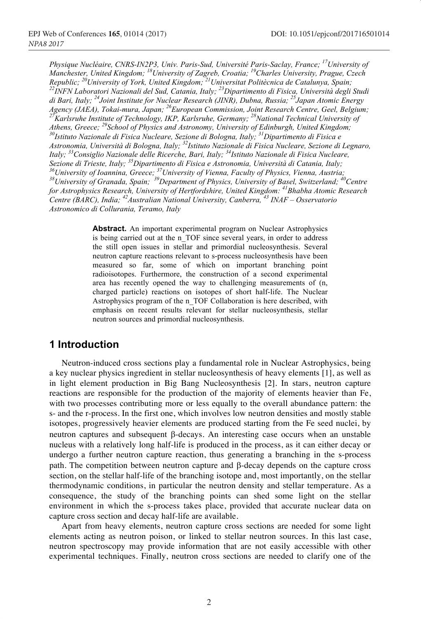*Physique Nucléaire, CNRS-IN2P3, Univ. Paris-Sud, Université Paris-Saclay, France; 17University of Manchester, United Kingdom; 18University of Zagreb, Croatia; 19Charles University, Prague, Czech*  Republic; <sup>20</sup>University of York, United Kingdom; <sup>21</sup>Universitat Politècnica de Catalunya, Spain;<br><sup>22</sup>INFN Laboratori Nazionali del Sud, Catania, Italy; <sup>23</sup>Dipartimento di Fisica, Università degli Studi *di Bari, Italy; 24Joint Institute for Nuclear Research (JINR), Dubna, Russia; 25Japan Atomic Energy Agency (JAEA), Tokai-mura, Japan;* <sup>26</sup>European Commission, Joint Research Centre, Geel, Belgium;<br><sup>27</sup>Karlsruhe Institute of Technology, IKP, Karlsruhe, Germany; <sup>28</sup>National Technical University of *Athens, Greece;* <sup>29</sup> *National Technical University of Technology, IKP, Karlsruhe, Germany*; <sup>28</sup>National Technical University of *Karlsruhe Institute of Technology, IKP, Karlsruhe, Germany*; <sup>28</sup>National Technical University of *Athens, Greece; 29School of Physics and Astronomy, University of Edinburgh, United Kingdom; 30Istituto Nazionale di Fisica Nucleare, Sezione di Bologna, Italy; 31Dipartimento di Fisica e Astronomia, Università di Bologna, Italy; 32Istituto Nazionale di Fisica Nucleare, Sezione di Legnaro, Italy;* <sup>33</sup>Consiglio Nazionale delle Ricerche, Bari, Italy; <sup>34</sup>Istituto Nazionale di Fisica Nucleare, Sezione di Trieste, Italy; <sup>35</sup>Dipartimento di Fisica e Astronomia, Università di Catania, Italy; <sup>36</sup>University of Ioannina, Greece; <sup>37</sup>University of Vienna, Faculty of Physics, Vienna, Austria;<br><sup>38</sup>University of Granada, Spain; <sup>39</sup>Department of Physics, University of Basel, Switzerland; <sup>40</sup>Centre *for Astrophysics Research, University of Hertfordshire, United Kingdom: 41Bhabha Atomic Research Centre (BARC), India; 42Australian National University, Canberra, 43 INAF – Osservatorio Astronomico di Collurania, Teramo, Italy*

> **Abstract.** An important experimental program on Nuclear Astrophysics is being carried out at the n\_TOF since several years, in order to address the still open issues in stellar and primordial nucleosynthesis. Several neutron capture reactions relevant to s-process nucleosynthesis have been measured so far, some of which on important branching point radioisotopes. Furthermore, the construction of a second experimental area has recently opened the way to challenging measurements of (n, charged particle) reactions on isotopes of short half-life. The Nuclear Astrophysics program of the n\_TOF Collaboration is here described, with emphasis on recent results relevant for stellar nucleosynthesis, stellar neutron sources and primordial nucleosynthesis.

# **1 Introduction**

Neutron-induced cross sections play a fundamental role in Nuclear Astrophysics, being a key nuclear physics ingredient in stellar nucleosynthesis of heavy elements [1], as well as in light element production in Big Bang Nucleosynthesis [2]. In stars, neutron capture reactions are responsible for the production of the majority of elements heavier than Fe, with two processes contributing more or less equally to the overall abundance pattern: the s- and the r-process. In the first one, which involves low neutron densities and mostly stable isotopes, progressively heavier elements are produced starting from the Fe seed nuclei, by neutron captures and subsequent  $\beta$ -decays. An interesting case occurs when an unstable nucleus with a relatively long half-life is produced in the process, as it can either decay or undergo a further neutron capture reaction, thus generating a branching in the s-process path. The competition between neutron capture and b-decay depends on the capture cross section, on the stellar half-life of the branching isotope and, most importantly, on the stellar thermodynamic conditions, in particular the neutron density and stellar temperature. As a consequence, the study of the branching points can shed some light on the stellar environment in which the s-process takes place, provided that accurate nuclear data on capture cross section and decay half-life are available.

Apart from heavy elements, neutron capture cross sections are needed for some light elements acting as neutron poison, or linked to stellar neutron sources. In this last case, neutron spectroscopy may provide information that are not easily accessible with other experimental techniques. Finally, neutron cross sections are needed to clarify one of the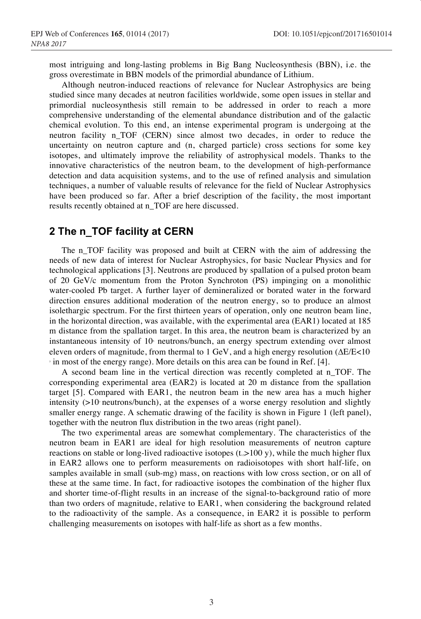most intriguing and long-lasting problems in Big Bang Nucleosynthesis (BBN), i.e. the gross overestimate in BBN models of the primordial abundance of Lithium.

Although neutron-induced reactions of relevance for Nuclear Astrophysics are being studied since many decades at neutron facilities worldwide, some open issues in stellar and primordial nucleosynthesis still remain to be addressed in order to reach a more comprehensive understanding of the elemental abundance distribution and of the galactic chemical evolution. To this end, an intense experimental program is undergoing at the neutron facility n\_TOF (CERN) since almost two decades, in order to reduce the uncertainty on neutron capture and (n, charged particle) cross sections for some key isotopes, and ultimately improve the reliability of astrophysical models. Thanks to the innovative characteristics of the neutron beam, to the development of high-performance detection and data acquisition systems, and to the use of refined analysis and simulation techniques, a number of valuable results of relevance for the field of Nuclear Astrophysics have been produced so far. After a brief description of the facility, the most important results recently obtained at n\_TOF are here discussed.

# **2 The n\_TOF facility at CERN**

The n\_TOF facility was proposed and built at CERN with the aim of addressing the needs of new data of interest for Nuclear Astrophysics, for basic Nuclear Physics and for technological applications [3]. Neutrons are produced by spallation of a pulsed proton beam of 20 GeV/c momentum from the Proton Synchroton (PS) impinging on a monolithic water-cooled Pb target. A further layer of demineralized or borated water in the forward direction ensures additional moderation of the neutron energy, so to produce an almost isolethargic spectrum. For the first thirteen years of operation, only one neutron beam line, in the horizontal direction, was available, with the experimental area (EAR1) located at 185 m distance from the spallation target. In this area, the neutron beam is characterized by an instantaneous intensity of  $10<sub>6</sub>$  neutrons/bunch, an energy spectrum extending over almost eleven orders of magnitude, from thermal to 1 GeV, and a high energy resolution  $(\Delta E/E < 10$ <sup>3</sup> in most of the energy range). More details on this area can be found in Ref. [4].

A second beam line in the vertical direction was recently completed at n\_TOF. The corresponding experimental area (EAR2) is located at 20 m distance from the spallation target [5]. Compared with EAR1, the neutron beam in the new area has a much higher intensity  $(>10$ <sup>n</sup> neutrons/bunch), at the expenses of a worse energy resolution and slightly smaller energy range. A schematic drawing of the facility is shown in Figure 1 (left panel), together with the neutron flux distribution in the two areas (right panel).

The two experimental areas are somewhat complementary. The characteristics of the neutron beam in EAR1 are ideal for high resolution measurements of neutron capture reactions on stable or long-lived radioactive isotopes ( $t_{\infty}$ >100 y), while the much higher flux in EAR2 allows one to perform measurements on radioisotopes with short half-life, on samples available in small (sub-mg) mass, on reactions with low cross section, or on all of these at the same time. In fact, for radioactive isotopes the combination of the higher flux and shorter time-of-flight results in an increase of the signal-to-background ratio of more than two orders of magnitude, relative to EAR1, when considering the background related to the radioactivity of the sample. As a consequence, in EAR2 it is possible to perform challenging measurements on isotopes with half-life as short as a few months.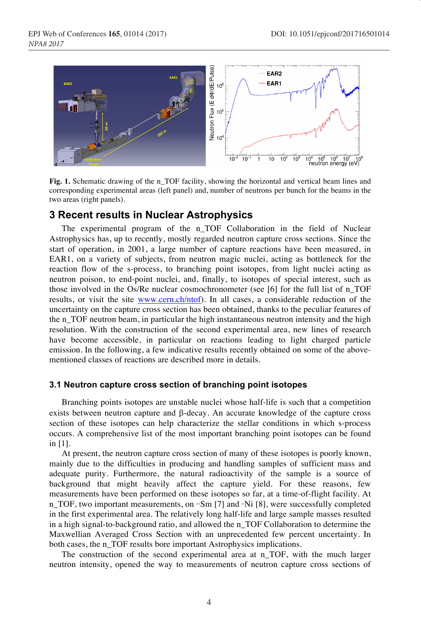

**Fig. 1.** Schematic drawing of the n\_TOF facility, showing the horizontal and vertical beam lines and corresponding experimental areas (left panel) and, number of neutrons per bunch for the beams in the two areas (right panels).

## **3 Recent results in Nuclear Astrophysics**

The experimental program of the n\_TOF Collaboration in the field of Nuclear Astrophysics has, up to recently, mostly regarded neutron capture cross sections. Since the start of operation, in 2001, a large number of capture reactions have been measured, in EAR1, on a variety of subjects, from neutron magic nuclei, acting as bottleneck for the reaction flow of the s-process, to branching point isotopes, from light nuclei acting as neutron poison, to end-point nuclei, and, finally, to isotopes of special interest, such as those involved in the Os/Re nuclear cosmochronometer (see [6] for the full list of n\_TOF results, or visit the site www.cern.ch/ntof). In all cases, a considerable reduction of the uncertainty on the capture cross section has been obtained, thanks to the peculiar features of the n\_TOF neutron beam, in particular the high instantaneous neutron intensity and the high resolution. With the construction of the second experimental area, new lines of research have become accessible, in particular on reactions leading to light charged particle emission. In the following, a few indicative results recently obtained on some of the abovementioned classes of reactions are described more in details.

#### **3.1 Neutron capture cross section of branching point isotopes**

Branching points isotopes are unstable nuclei whose half-life is such that a competition exists between neutron capture and  $\beta$ -decay. An accurate knowledge of the capture cross section of these isotopes can help characterize the stellar conditions in which s-process occurs. A comprehensive list of the most important branching point isotopes can be found in [1].

At present, the neutron capture cross section of many of these isotopes is poorly known, mainly due to the difficulties in producing and handling samples of sufficient mass and adequate purity. Furthermore, the natural radioactivity of the sample is a source of background that might heavily affect the capture yield. For these reasons, few measurements have been performed on these isotopes so far, at a time-of-flight facility. At n\_TOF, two important measurements, on "Sm [7] and "Ni [8], were successfully completed in the first experimental area. The relatively long half-life and large sample masses resulted in a high signal-to-background ratio, and allowed the n\_TOF Collaboration to determine the Maxwellian Averaged Cross Section with an unprecedented few percent uncertainty. In both cases, the n\_TOF results bore important Astrophysics implications.

The construction of the second experimental area at n\_TOF, with the much larger neutron intensity, opened the way to measurements of neutron capture cross sections of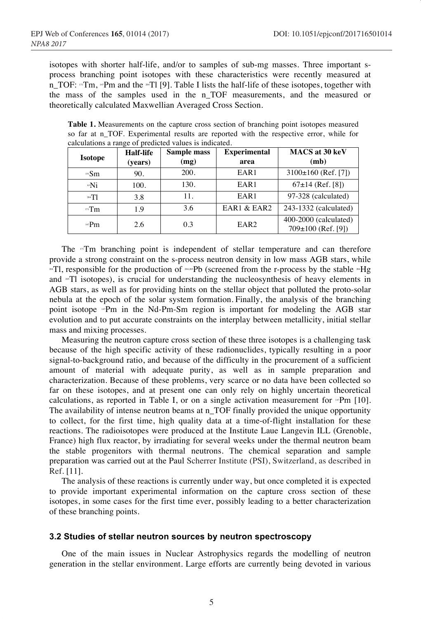isotopes with shorter half-life, and/or to samples of sub-mg masses. Three important sprocess branching point isotopes with these characteristics were recently measured at n\_TOF: "Tm, "Pm and the "Tl [9]. Table I lists the half-life of these isotopes, together with the mass of the samples used in the n\_TOF measurements, and the measured or theoretically calculated Maxwellian Averaged Cross Section.

**Table 1.** Measurements on the capture cross section of branching point isotopes measured so far at n\_TOF. Experimental results are reported with the respective error, while for calculations a range of predicted values is indicated.

| <b>Isotope</b> | Half-life | Sample mass | <b>Experimental</b> | MACS at 30 keV                                  |
|----------------|-----------|-------------|---------------------|-------------------------------------------------|
|                | (years)   | (mg)        | area                | (mb)                                            |
| $151$ $Sm$     | 90.       | 200.        | EAR1                | $3100\pm160$ (Ref. [7])                         |
| ⊕Ni            | 100.      | 130.        | EAR1                | $67\pm14$ (Ref. [8])                            |
| $204$ T        | 3.8       | 11.         | EAR1                | 97-328 (calculated)                             |
| $m$ Tm         | 1.9       | 3.6         | EAR1 & EAR2         | 243-1332 (calculated)                           |
| $147$ Pm       | 2.6       | 0.3         | EAR <sub>2</sub>    | 400-2000 (calculated)<br>$709\pm100$ (Ref. [9]) |

The "Tm branching point is independent of stellar temperature and can therefore provide a strong constraint on the s-process neutron density in low mass AGB stars, while  $\text{FIT}$ , responsible for the production of  $\text{FIT}$  (screened from the r-process by the stable  $\text{FIT}$ and <sup>\*</sup>Tl isotopes), is crucial for understanding the nucleosynthesis of heavy elements in AGB stars, as well as for providing hints on the stellar object that polluted the proto-solar nebula at the epoch of the solar system formation. Finally, the analysis of the branching point isotope "Pm in the Nd-Pm-Sm region is important for modeling the AGB star evolution and to put accurate constraints on the interplay between metallicity, initial stellar mass and mixing processes.

Measuring the neutron capture cross section of these three isotopes is a challenging task because of the high specific activity of these radionuclides, typically resulting in a poor signal-to-background ratio, and because of the difficulty in the procurement of a sufficient amount of material with adequate purity, as well as in sample preparation and characterization. Because of these problems, very scarce or no data have been collected so far on these isotopes, and at present one can only rely on highly uncertain theoretical calculations, as reported in Table I, or on a single activation measurement for  $Pm$  [10]. The availability of intense neutron beams at n\_TOF finally provided the unique opportunity to collect, for the first time, high quality data at a time-of-flight installation for these reactions. The radioisotopes were produced at the Institute Laue Langevin ILL (Grenoble, France) high flux reactor, by irradiating for several weeks under the thermal neutron beam the stable progenitors with thermal neutrons. The chemical separation and sample preparation was carried out at the Paul Scherrer Institute (PSI), Switzerland, as described in Ref. [11].

The analysis of these reactions is currently under way, but once completed it is expected to provide important experimental information on the capture cross section of these isotopes, in some cases for the first time ever, possibly leading to a better characterization of these branching points.

#### **3.2 Studies of stellar neutron sources by neutron spectroscopy**

One of the main issues in Nuclear Astrophysics regards the modelling of neutron generation in the stellar environment. Large efforts are currently being devoted in various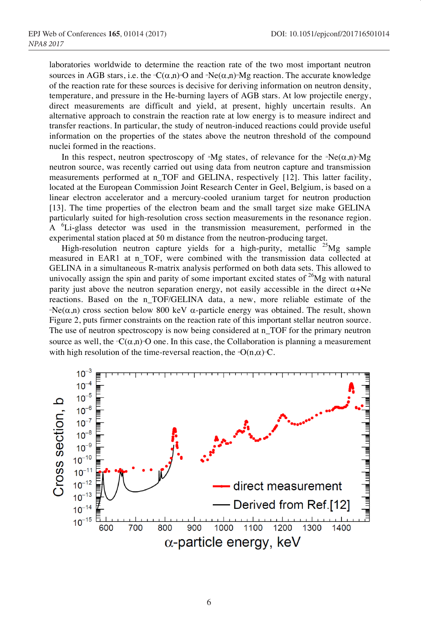laboratories worldwide to determine the reaction rate of the two most important neutron sources in AGB stars, i.e. the  $\mathbb{P}C(\alpha,n)\mathbb{P}O$  and  $\mathbb{P}N\in\{\alpha,n\}\mathbb{P}M\mathbb{P}O$  reaction. The accurate knowledge of the reaction rate for these sources is decisive for deriving information on neutron density, temperature, and pressure in the He-burning layers of AGB stars. At low projectile energy, direct measurements are difficult and yield, at present, highly uncertain results. An alternative approach to constrain the reaction rate at low energy is to measure indirect and transfer reactions. In particular, the study of neutron-induced reactions could provide useful information on the properties of the states above the neutron threshold of the compound nuclei formed in the reactions.

In this respect, neutron spectroscopy of  $^*Mg$  states, of relevance for the  $^*Ne(\alpha,n)^*Mg$ neutron source, was recently carried out using data from neutron capture and transmission measurements performed at n\_TOF and GELINA, respectively [12]. This latter facility, located at the European Commission Joint Research Center in Geel, Belgium, is based on a linear electron accelerator and a mercury-cooled uranium target for neutron production [13]. The time properties of the electron beam and the small target size make GELINA particularly suited for high-resolution cross section measurements in the resonance region. A <sup>6</sup>Li-glass detector was used in the transmission measurement, performed in the experimental station placed at 50 m distance from the neutron-producing target.

High-resolution neutron capture yields for a high-purity, metallic  $25\text{Mg}$  sample measured in EAR1 at n TOF, were combined with the transmission data collected at GELINA in a simultaneous R-matrix analysis performed on both data sets. This allowed to univocally assign the spin and parity of some important excited states of  $26$ Mg with natural parity just above the neutron separation energy, not easily accessible in the direct  $\alpha$ +Ne reactions. Based on the n\_TOF/GELINA data, a new, more reliable estimate of the  $P\text{Ne}(\alpha,n)$  cross section below 800 keV  $\alpha$ -particle energy was obtained. The result, shown Figure 2, puts firmer constraints on the reaction rate of this important stellar neutron source. The use of neutron spectroscopy is now being considered at n\_TOF for the primary neutron source as well, the  $\mathcal{C}(\alpha,n)$ <sup>o</sup>O one. In this case, the Collaboration is planning a measurement with high resolution of the time-reversal reaction, the  $\Theta(n,\alpha)$ <sup>n</sup>C.

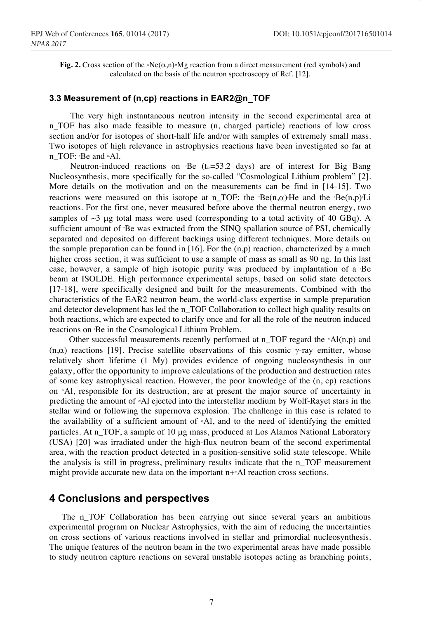**Fig. 2.** Cross section of the  $\mathbb{R}P(\alpha,n) \leq Mg$  reaction from a direct measurement (red symbols) and calculated on the basis of the neutron spectroscopy of Ref. [12].

#### **3.3 Measurement of (n,cp) reactions in EAR2@n\_TOF**

The very high instantaneous neutron intensity in the second experimental area at n\_TOF has also made feasible to measure (n, charged particle) reactions of low cross section and/or for isotopes of short-half life and/or with samples of extremely small mass. Two isotopes of high relevance in astrophysics reactions have been investigated so far at n\_TOF: 'Be and <sup>\*</sup>Al.

Neutron-induced reactions on Be  $(t_{\alpha}=53.2 \text{ days})$  are of interest for Big Bang Nucleosynthesis, more specifically for the so-called "Cosmological Lithium problem" [2]. More details on the motivation and on the measurements can be find in [14-15]. Two reactions were measured on this isotope at n\_TOF: the  $Be(n,\alpha)$ He and the  $Be(n,p)$ Li reactions. For the first one, never measured before above the thermal neutron energy, two samples of  $\sim$ 3 µg total mass were used (corresponding to a total activity of 40 GBq). A sufficient amount of 7 Be was extracted from the SINQ spallation source of PSI, chemically separated and deposited on different backings using different techniques. More details on the sample preparation can be found in  $[16]$ . For the  $(n,p)$  reaction, characterized by a much higher cross section, it was sufficient to use a sample of mass as small as 90 ng. In this last case, however, a sample of high isotopic purity was produced by implantation of a 7 Be beam at ISOLDE. High performance experimental setups, based on solid state detectors [17-18], were specifically designed and built for the measurements. Combined with the characteristics of the EAR2 neutron beam, the world-class expertise in sample preparation and detector development has led the n\_TOF Collaboration to collect high quality results on both reactions, which are expected to clarify once and for all the role of the neutron induced reactions on 7 Be in the Cosmological Lithium Problem.

Other successful measurements recently performed at  $n$ <sub>TOF</sub> regard the  $*AI(n,p)$  and  $(n,\alpha)$  reactions [19]. Precise satellite observations of this cosmic  $\gamma$ -ray emitter, whose relatively short lifetime (1 My) provides evidence of ongoing nucleosynthesis in our galaxy, offer the opportunity to improve calculations of the production and destruction rates of some key astrophysical reaction. However, the poor knowledge of the (n, cp) reactions on 26Al, responsible for its destruction, are at present the major source of uncertainty in predicting the amount of 26Al ejected into the interstellar medium by Wolf-Rayet stars in the stellar wind or following the supernova explosion. The challenge in this case is related to the availability of a sufficient amount of  $A$ , and to the need of identifying the emitted particles. At n\_TOF, a sample of 10 µg mass, produced at Los Alamos National Laboratory (USA) [20] was irradiated under the high-flux neutron beam of the second experimental area, with the reaction product detected in a position-sensitive solid state telescope. While the analysis is still in progress, preliminary results indicate that the n\_TOF measurement might provide accurate new data on the important n+\*Al reaction cross sections.

## **4 Conclusions and perspectives**

The n\_TOF Collaboration has been carrying out since several years an ambitious experimental program on Nuclear Astrophysics, with the aim of reducing the uncertainties on cross sections of various reactions involved in stellar and primordial nucleosynthesis. The unique features of the neutron beam in the two experimental areas have made possible to study neutron capture reactions on several unstable isotopes acting as branching points,